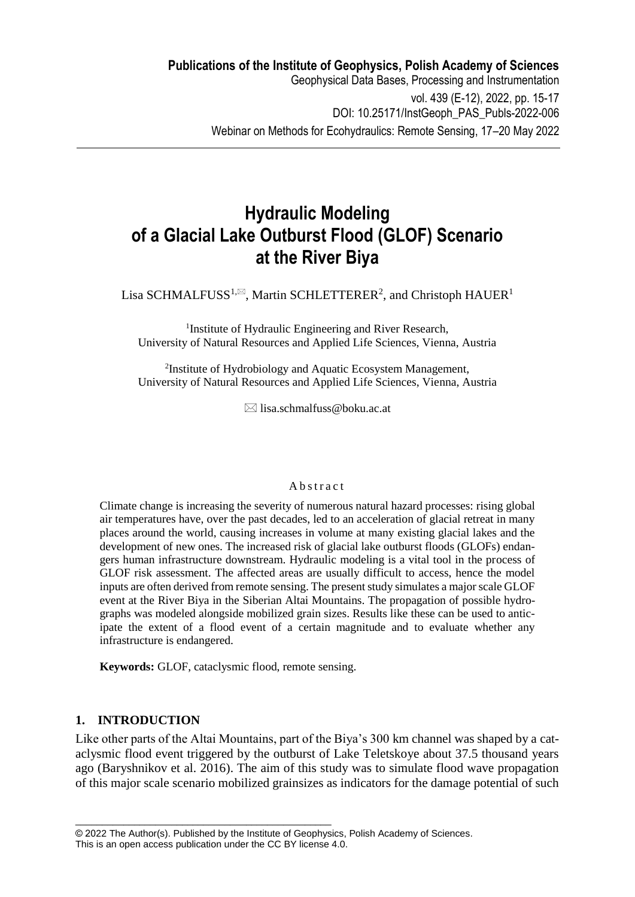# **Hydraulic Modeling of a Glacial Lake Outburst Flood (GLOF) Scenario at the River Biya**

Lisa SCHMALFUSS<sup>1, $\boxtimes$ </sup>, Martin SCHLETTERER<sup>2</sup>, and Christoph HAUER<sup>1</sup>

<sup>1</sup>Institute of Hydraulic Engineering and River Research, University of Natural Resources and Applied Life Sciences, Vienna, Austria

<sup>2</sup>Institute of Hydrobiology and Aquatic Ecosystem Management, University of Natural Resources and Applied Life Sciences, Vienna, Austria

 $\boxtimes$  lisa.schmalfuss@boku.ac.at

#### A b stract

Climate change is increasing the severity of numerous natural hazard processes: rising global air temperatures have, over the past decades, led to an acceleration of glacial retreat in many places around the world, causing increases in volume at many existing glacial lakes and the development of new ones. The increased risk of glacial lake outburst floods (GLOFs) endangers human infrastructure downstream. Hydraulic modeling is a vital tool in the process of GLOF risk assessment. The affected areas are usually difficult to access, hence the model inputs are often derived from remote sensing. The present study simulates a major scale GLOF event at the River Biya in the Siberian Altai Mountains. The propagation of possible hydrographs was modeled alongside mobilized grain sizes. Results like these can be used to anticipate the extent of a flood event of a certain magnitude and to evaluate whether any infrastructure is endangered.

**Keywords:** GLOF, cataclysmic flood, remote sensing.

\_\_\_\_\_\_\_\_\_\_\_\_\_\_\_\_\_\_\_\_\_\_\_\_\_\_\_\_\_\_\_\_\_\_\_\_\_\_\_\_\_\_\_\_\_\_\_\_

# **1. INTRODUCTION**

Like other parts of the Altai Mountains, part of the Biya's 300 km channel was shaped by a cataclysmic flood event triggered by the outburst of Lake Teletskoye about 37.5 thousand years ago (Baryshnikov et al. 2016). The aim of this study was to simulate flood wave propagation of this major scale scenario mobilized grainsizes as indicators for the damage potential of such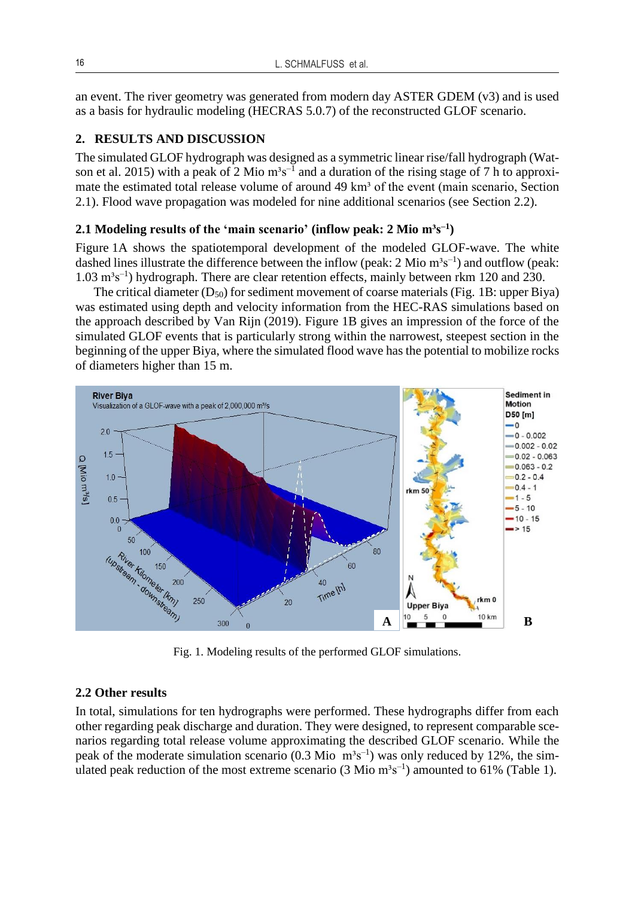an event. The river geometry was generated from modern day ASTER GDEM (v3) and is used as a basis for hydraulic modeling (HECRAS 5.0.7) of the reconstructed GLOF scenario.

# **2. RESULTS AND DISCUSSION**

The simulated GLOF hydrograph was designed as a symmetric linear rise/fall hydrograph (Watson et al. 2015) with a peak of 2 Mio  $m^3s^{-1}$  and a duration of the rising stage of 7 h to approximate the estimated total release volume of around 49 km<sup>3</sup> of the event (main scenario, Section 2.1). Flood wave propagation was modeled for nine additional scenarios (see Section 2.2).

### **2.1 Modeling results of the 'main scenario' (inflow peak: 2 Mio m³s–1 )**

Figure 1A shows the spatiotemporal development of the modeled GLOF-wave. The white dashed lines illustrate the difference between the inflow (peak:  $2 \text{ Mio } \text{m}^3 \text{s}^{-1}$ ) and outflow (peak:  $1.03 \text{ m}^3\text{s}^{-1}$ ) hydrograph. There are clear retention effects, mainly between rkm 120 and 230.

The critical diameter  $(D_{50})$  for sediment movement of coarse materials (Fig. 1B: upper Biya) was estimated using depth and velocity information from the HEC-RAS simulations based on the approach described by Van Rijn (2019). Figure 1B gives an impression of the force of the simulated GLOF events that is particularly strong within the narrowest, steepest section in the beginning of the upper Biya, where the simulated flood wave has the potential to mobilize rocks of diameters higher than 15 m.



Fig. 1. Modeling results of the performed GLOF simulations.

#### **2.2 Other results**

In total, simulations for ten hydrographs were performed. These hydrographs differ from each other regarding peak discharge and duration. They were designed, to represent comparable scenarios regarding total release volume approximating the described GLOF scenario. While the peak of the moderate simulation scenario (0.3 Mio  $m<sup>3</sup>s<sup>-1</sup>$ ) was only reduced by 12%, the simulated peak reduction of the most extreme scenario  $(3 \text{ Mio m}^3 \text{s}^{-1})$  amounted to 61% (Table 1).